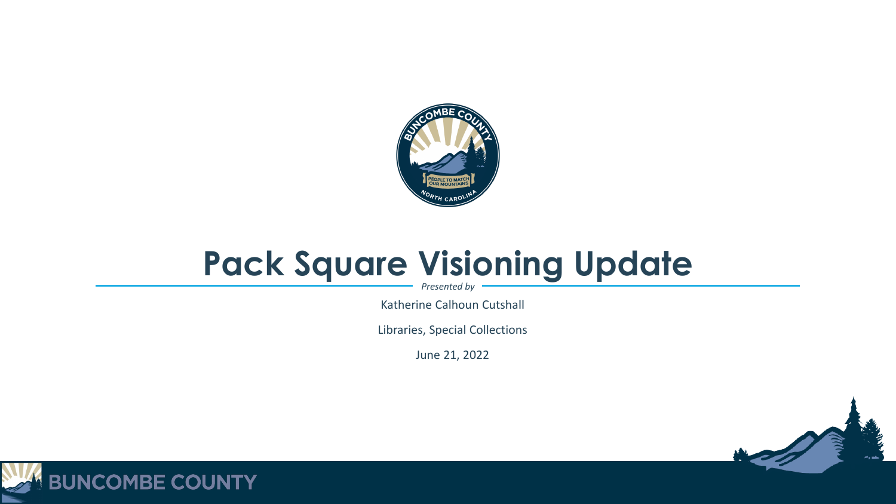

#### **Pack Square Visioning Update**

*Presented by*

Katherine Calhoun Cutshall

Libraries, Special Collections

June 21, 2022



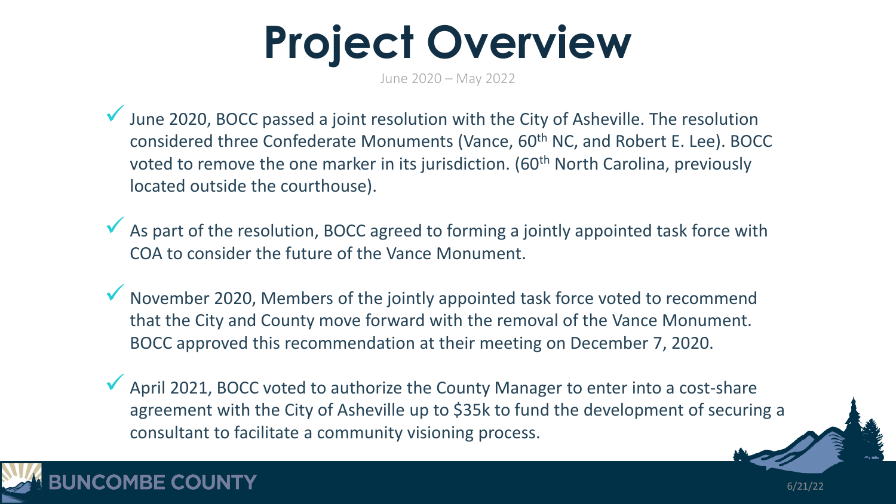**Project Overview**

June 2020 – May 2022

 $\checkmark$  June 2020, BOCC passed a joint resolution with the City of Asheville. The resolution considered three Confederate Monuments (Vance, 60<sup>th</sup> NC, and Robert E. Lee). BOCC voted to remove the one marker in its jurisdiction. (60<sup>th</sup> North Carolina, previously located outside the courthouse).

As part of the resolution, BOCC agreed to forming a jointly appointed task force with COA to consider the future of the Vance Monument.

 November 2020, Members of the jointly appointed task force voted to recommend that the City and County move forward with the removal of the Vance Monument. BOCC approved this recommendation at their meeting on December 7, 2020.

April 2021, BOCC voted to authorize the County Manager to enter into a cost-share agreement with the City of Asheville up to \$35k to fund the development of securing a consultant to facilitate a community visioning process.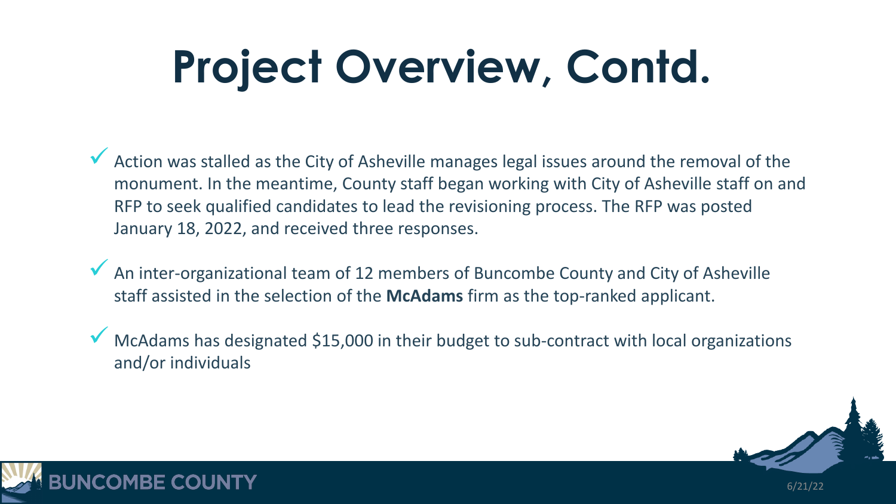# **Project Overview, Contd.**

Action was stalled as the City of Asheville manages legal issues around the removal of the monument. In the meantime, County staff began working with City of Asheville staff on and RFP to seek qualified candidates to lead the revisioning process. The RFP was posted January 18, 2022, and received three responses.

 $\sqrt{\phantom{a}}$  An inter-organizational team of 12 members of Buncombe County and City of Asheville staff assisted in the selection of the **McAdams** firm as the top-ranked applicant.

 McAdams has designated \$15,000 in their budget to sub-contract with local organizations and/or individuals



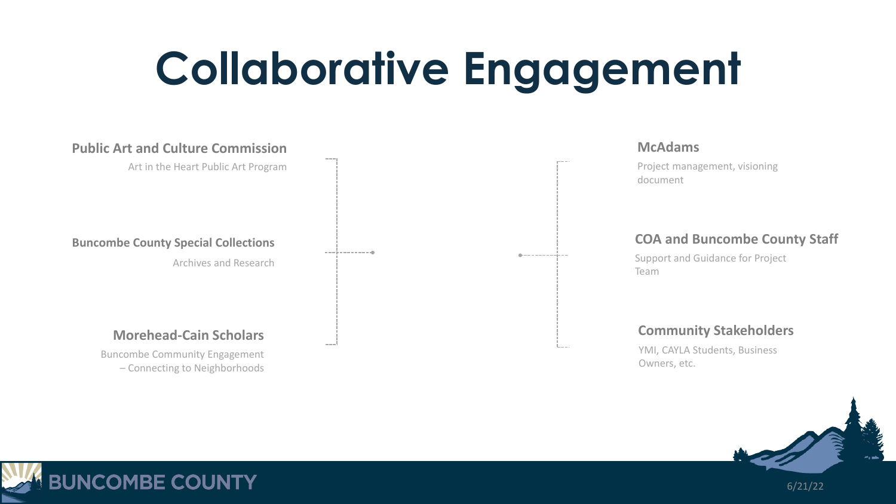## **Collaborative Engagement**





**BUNCOMBE COUNTY** 

6/21/22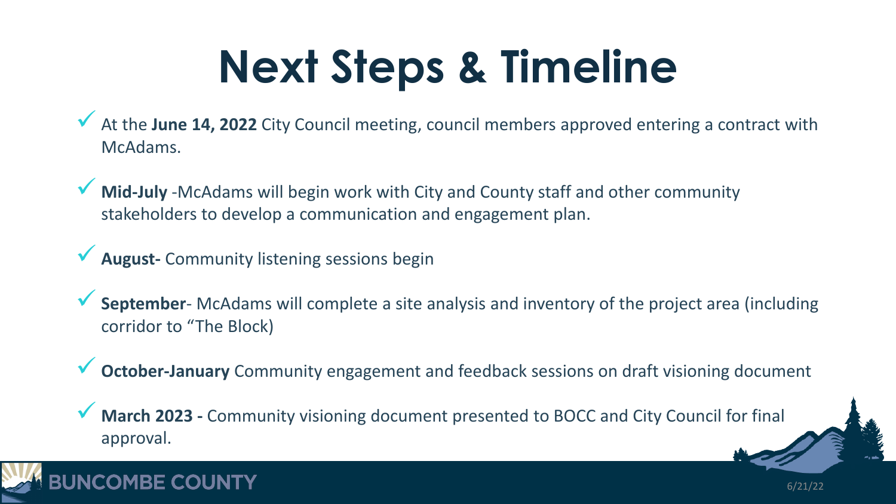# **Next Steps & Timeline**

 At the **June 14, 2022** City Council meeting, council members approved entering a contract with McAdams.

 **Mid-July** -McAdams will begin work with City and County staff and other community stakeholders to develop a communication and engagement plan.

**August-** Community listening sessions begin

 **September**- McAdams will complete a site analysis and inventory of the project area (including corridor to "The Block)

**October-January** Community engagement and feedback sessions on draft visioning document

6/21/22

 **March 2023 -** Community visioning document presented to BOCC and City Council for final approval.